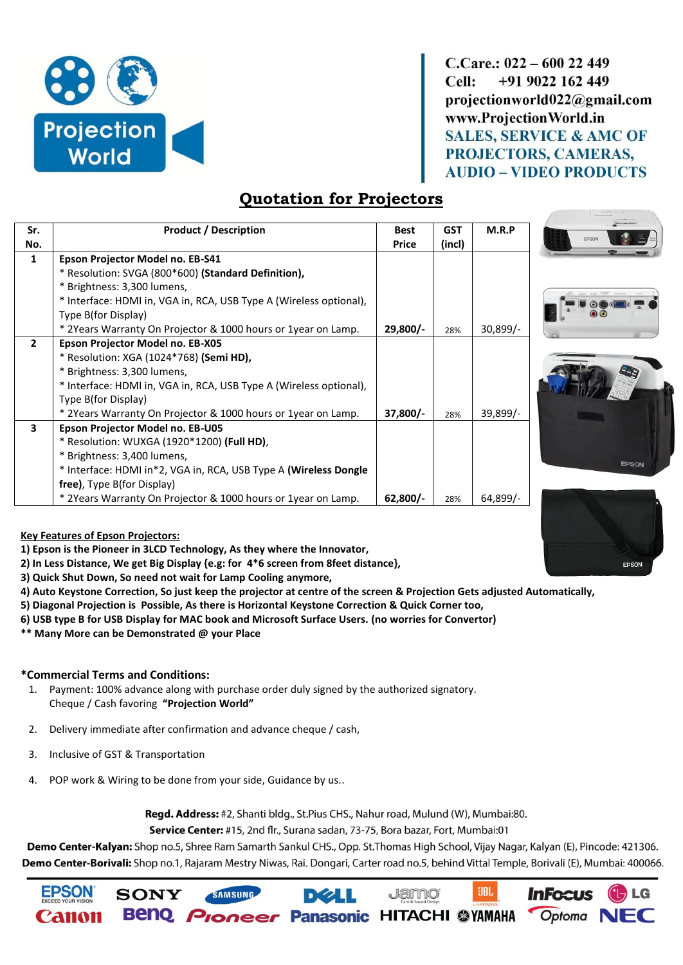

 $C_{C}$ are.: 022 – 600 22 449 Cell: +91 9022 162 449 projectionworld022@gmail.com www.ProjectionWorld.in **SALES, SERVICE & AMC OF** PROJECTORS, CAMERAS, **AUDIO - VIDEO PRODUCTS** 

## **Quotation for Projectors**

| Sr.          | <b>Product / Description</b>                                       | <b>Best</b> | <b>GST</b> | M.R.P      |
|--------------|--------------------------------------------------------------------|-------------|------------|------------|
| No.          |                                                                    | Price       | (incl)     |            |
| $\mathbf{1}$ | Epson Projector Model no. EB-S41                                   |             |            |            |
|              | * Resolution: SVGA (800*600) (Standard Definition),                |             |            |            |
|              | * Brightness: 3,300 lumens,                                        |             |            |            |
|              | * Interface: HDMI in, VGA in, RCA, USB Type A (Wireless optional), |             |            |            |
|              | Type B(for Display)                                                |             |            |            |
|              | * 2Years Warranty On Projector & 1000 hours or 1year on Lamp.      | $29,800/-$  | 28%        | $30,899/-$ |
| $\mathbf{2}$ | Epson Projector Model no. EB-X05                                   |             |            |            |
|              | * Resolution: XGA (1024*768) (Semi HD),                            |             |            |            |
|              | * Brightness: 3,300 lumens,                                        |             |            |            |
|              | * Interface: HDMI in, VGA in, RCA, USB Type A (Wireless optional), |             |            |            |
|              | Type B(for Display)                                                |             |            |            |
|              | * 2Years Warranty On Projector & 1000 hours or 1year on Lamp.      | 37,800/-    | 28%        | 39,899/-   |
| 3            | Epson Projector Model no. EB-U05                                   |             |            |            |
|              | * Resolution: WUXGA (1920*1200) (Full HD),                         |             |            |            |
|              | * Brightness: 3,400 lumens,                                        |             |            |            |
|              | * Interface: HDMI in*2, VGA in, RCA, USB Type A (Wireless Dongle   |             |            |            |
|              | free), Type B(for Display)                                         |             |            |            |
|              | * 2Years Warranty On Projector & 1000 hours or 1year on Lamp.      | $62,800/-$  | 28%        | $64,899/-$ |



## **Key Features of Epson Projectors:**

**1) Epson is the Pioneer in 3LCD Technology, As they where the Innovator,**

**2) In Less Distance, We get Big Display {e.g: for 4\*6 screen from 8feet distance},**

- **3) Quick Shut Down, So need not wait for Lamp Cooling anymore,**
- **4) Auto Keystone Correction, So just keep the projector at centre of the screen & Projection Gets adjusted Automatically,**
- **5) Diagonal Projection is Possible, As there is Horizontal Keystone Correction & Quick Corner too,**
- **6) USB type B for USB Display for MAC book and Microsoft Surface Users. (no worries for Convertor)**
- **\*\* Many More can be Demonstrated @ your Place**

## **\*Commercial Terms and Conditions:**

1. Payment: 100% advance along with purchase order duly signed by the authorized signatory. Cheque / Cash favoring **"Projection World"**

SAMSUNG

- 2. Delivery immediate after confirmation and advance cheque / cash,
- 3. Inclusive of GST & Transportation
- 4. POP work & Wiring to be done from your side, Guidance by us..

Regd. Address: #2, Shanti bldg., St.Pius CHS., Nahur road, Mulund (W), Mumbai:80.

Service Center: #15, 2nd flr., Surana sadan, 73-75, Bora bazar, Fort, Mumbai:01

**DØLL** 

Demo Center-Kalyan: Shop no.5, Shree Ram Samarth Sankul CHS., Opp. St.Thomas High School, Vijay Nagar, Kalyan (E), Pincode: 421306. Demo Center-Borivali: Shop no.1, Rajaram Mestry Niwas, Rai. Dongari, Carter road no.5, behind Vittal Temple, Borivali (E), Mumbai: 400066.





UBL.

**Jamo**